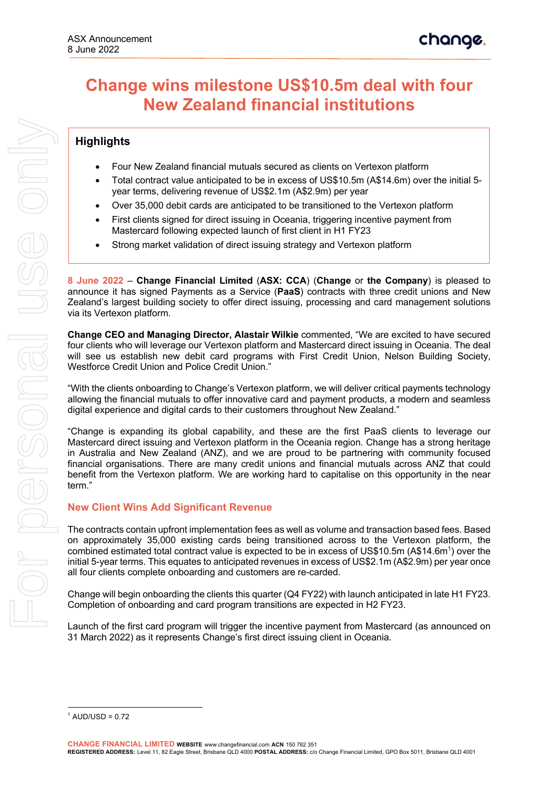# **Change wins milestone US\$10.5m deal with four New Zealand financial institutions**

## **Highlights**

- Four New Zealand financial mutuals secured as clients on Vertexon platform
- Total contract value anticipated to be in excess of US\$10.5m (A\$14.6m) over the initial 5 year terms, delivering revenue of US\$2.1m (A\$2.9m) per year
- Over 35,000 debit cards are anticipated to be transitioned to the Vertexon platform
- First clients signed for direct issuing in Oceania, triggering incentive payment from Mastercard following expected launch of first client in H1 FY23
- Strong market validation of direct issuing strategy and Vertexon platform

**8 June 2022** – **Change Financial Limited** (**ASX: CCA**) (**Change** or **the Company**) is pleased to announce it has signed Payments as a Service (**PaaS**) contracts with three credit unions and New Zealand's largest building society to offer direct issuing, processing and card management solutions via its Vertexon platform.

**Change CEO and Managing Director, Alastair Wilkie** commented, "We are excited to have secured four clients who will leverage our Vertexon platform and Mastercard direct issuing in Oceania. The deal will see us establish new debit card programs with First Credit Union, Nelson Building Society, Westforce Credit Union and Police Credit Union."

"With the clients onboarding to Change's Vertexon platform, we will deliver critical payments technology allowing the financial mutuals to offer innovative card and payment products, a modern and seamless digital experience and digital cards to their customers throughout New Zealand."

"Change is expanding its global capability, and these are the first PaaS clients to leverage our Mastercard direct issuing and Vertexon platform in the Oceania region. Change has a strong heritage in Australia and New Zealand (ANZ), and we are proud to be partnering with community focused financial organisations. There are many credit unions and financial mutuals across ANZ that could benefit from the Vertexon platform. We are working hard to capitalise on this opportunity in the near term."

#### **New Client Wins Add Significant Revenue**

The contracts contain upfront implementation fees as well as volume and transaction based fees. Based on approximately 35,000 existing cards being transitioned across to the Vertexon platform, the combined estimated total contract value is expected to be in excess of US\$10.5m (A\$14.6m<sup>1</sup>) over the initial 5-year terms. This equates to anticipated revenues in excess of US\$2.1m (A\$2.9m) per year once all four clients complete onboarding and customers are re-carded.

Change will begin onboarding the clients this quarter (Q4 FY22) with launch anticipated in late H1 FY23. Completion of onboarding and card program transitions are expected in H2 FY23.

Launch of the first card program will trigger the incentive payment from Mastercard (as announced on 31 March 2022) as it represents Change's first direct issuing client in Oceania.

 $1$  AUD/USD = 0.72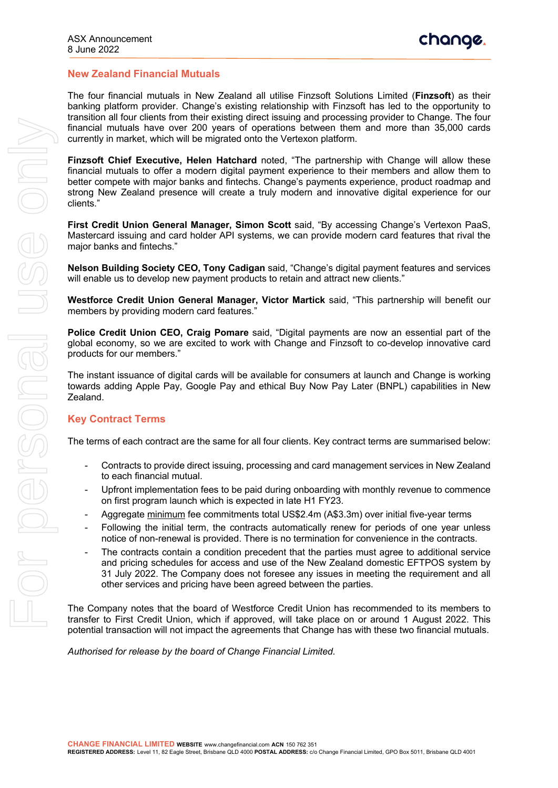#### **New Zealand Financial Mutuals**

The four financial mutuals in New Zealand all utilise Finzsoft Solutions Limited (**Finzsoft**) as their banking platform provider. Change's existing relationship with Finzsoft has led to the opportunity to transition all four clients from their existing direct issuing and processing provider to Change. The four financial mutuals have over 200 years of operations between them and more than 35,000 cards currently in market, which will be migrated onto the Vertexon platform.

**Finzsoft Chief Executive, Helen Hatchard** noted, "The partnership with Change will allow these financial mutuals to offer a modern digital payment experience to their members and allow them to better compete with major banks and fintechs. Change's payments experience, product roadmap and strong New Zealand presence will create a truly modern and innovative digital experience for our clients."

**First Credit Union General Manager, Simon Scott** said, "By accessing Change's Vertexon PaaS, Mastercard issuing and card holder API systems, we can provide modern card features that rival the major banks and fintechs."

**Nelson Building Society CEO, Tony Cadigan** said, "Change's digital payment features and services will enable us to develop new payment products to retain and attract new clients."

**Westforce Credit Union General Manager, Victor Martick** said, "This partnership will benefit our members by providing modern card features."

**Police Credit Union CEO, Craig Pomare** said, "Digital payments are now an essential part of the global economy, so we are excited to work with Change and Finzsoft to co-develop innovative card products for our members."

The instant issuance of digital cards will be available for consumers at launch and Change is working towards adding Apple Pay, Google Pay and ethical Buy Now Pay Later (BNPL) capabilities in New Zealand.

#### **Key Contract Terms**

The terms of each contract are the same for all four clients. Key contract terms are summarised below:

- Contracts to provide direct issuing, processing and card management services in New Zealand to each financial mutual.
- Upfront implementation fees to be paid during onboarding with monthly revenue to commence on first program launch which is expected in late H1 FY23.
- Aggregate minimum fee commitments total US\$2.4m (A\$3.3m) over initial five-year terms
- Following the initial term, the contracts automatically renew for periods of one year unless notice of non-renewal is provided. There is no termination for convenience in the contracts.
- The contracts contain a condition precedent that the parties must agree to additional service and pricing schedules for access and use of the New Zealand domestic EFTPOS system by 31 July 2022. The Company does not foresee any issues in meeting the requirement and all other services and pricing have been agreed between the parties.

The Company notes that the board of Westforce Credit Union has recommended to its members to transfer to First Credit Union, which if approved, will take place on or around 1 August 2022. This potential transaction will not impact the agreements that Change has with these two financial mutuals.

*Authorised for release by the board of Change Financial Limited.*